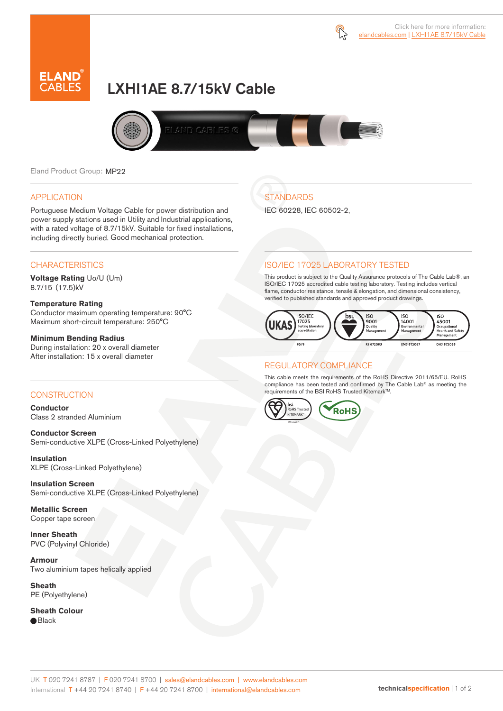



# LXHI1AE 8.7/15kV Cable



**STANDARDS** 

IEC 60228, IEC 60502-2,

Eland Product Group: MP22

## APPLICATION

Portuguese Medium Voltage Cable for power distribution and power supply stations used in Utility and Industrial applications, with a rated voltage of 8.7/15kV. Suitable for fixed installations, including directly buried. Good mechanical protection.

## **CHARACTERISTICS**

**Voltage Rating** Uo/U (Um) 8.7/15 (17.5)kV

### **Temperature Rating**

Conductor maximum operating temperature: 90°C Maximum short-circuit temperature: 250°C

### **Minimum Bending Radius**

During installation: 20 x overall diameter After installation: 15 x overall diameter

## **CONSTRUCTION**

**Conductor**  Class 2 stranded Aluminium

**Conductor Screen** Semi-conductive XLPE (Cross-Linked Polyethylene)

**Insulation** XLPE (Cross-Linked Polyethylene)

**Insulation Screen** Semi-conductive XLPE (Cross-Linked Polyethylene)

**Metallic Screen**  Copper tape screen

**Inner Sheath** PVC (Polyvinyl Chloride)

**Armour** Two aluminium tapes helically applied

**Sheath** PE (Polyethylene)

**Sheath Colour**  ● Black

## ISO/IEC 17025 LABORATORY TESTED

This product is subject to the Quality Assurance protocols of The Cable Lab®, an ISO/IEC 17025 accredited cable testing laboratory. Testing includes vertical flame, conductor resistance, tensile & elongation, and dimensional consistency, verified to published standards and approved product drawings.



## REGULATORY COMPLIANCE

This cable meets the requirements of the RoHS Directive 2011/65/EU. RoHS compliance has been tested and confirmed by The Cable Lab® as meeting the requirements of the BSI RoHS Trusted Kitemark™.



#### UK T 020 7241 8787 | F 020 7241 8700 | sales@elandcables.com | www.elandcables.com International T +44 20 7241 8740 | F +44 20 7241 8700 | international@elandcables.com